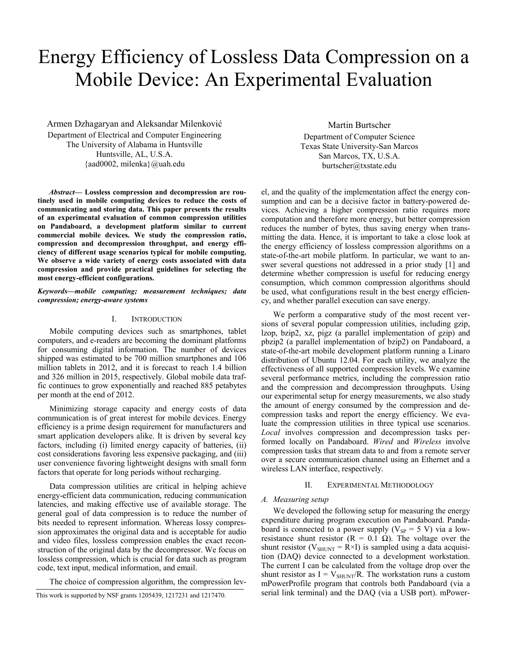# Energy Efficiency of Lossless Data Compression on a Mobile Device: An Experimental Evaluation

Armen Dzhagaryan and Aleksandar Milenković Department of Electrical and Computer Engineering The University of Alabama in Huntsville Huntsville, AL, U.S.A. {aad0002, milenka}@uah.edu

*Abstract***— Lossless compression and decompression are routinely used in mobile computing devices to reduce the costs of communicating and storing data. This paper presents the results of an experimental evaluation of common compression utilities on Pandaboard, a development platform similar to current commercial mobile devices. We study the compression ratio, compression and decompression throughput, and energy efficiency of different usage scenarios typical for mobile computing. We observe a wide variety of energy costs associated with data compression and provide practical guidelines for selecting the most energy-efficient configurations.**

*Keywords—mobile computing; measurement techniques; data compression; energy-aware systems* 

# I. INTRODUCTION

Mobile computing devices such as smartphones, tablet computers, and e-readers are becoming the dominant platforms for consuming digital information. The number of devices shipped was estimated to be 700 million smartphones and 106 million tablets in 2012, and it is forecast to reach 1.4 billion and 326 million in 2015, respectively. Global mobile data traffic continues to grow exponentially and reached 885 petabytes per month at the end of 2012.

Minimizing storage capacity and energy costs of data communication is of great interest for mobile devices. Energy efficiency is a prime design requirement for manufacturers and smart application developers alike. It is driven by several key factors, including (i) limited energy capacity of batteries, (ii) cost considerations favoring less expensive packaging, and (iii) user convenience favoring lightweight designs with small form factors that operate for long periods without recharging.

Data compression utilities are critical in helping achieve energy-efficient data communication, reducing communication latencies, and making effective use of available storage. The general goal of data compression is to reduce the number of bits needed to represent information. Whereas lossy compression approximates the original data and is acceptable for audio and video files, lossless compression enables the exact reconstruction of the original data by the decompressor. We focus on lossless compression, which is crucial for data such as program code, text input, medical information, and email.

The choice of compression algorithm, the compression lev-

Martin Burtscher Department of Computer Science Texas State University-San Marcos San Marcos, TX, U.S.A. burtscher@txstate.edu

el, and the quality of the implementation affect the energy consumption and can be a decisive factor in battery-powered devices. Achieving a higher compression ratio requires more computation and therefore more energy, but better compression reduces the number of bytes, thus saving energy when transmitting the data. Hence, it is important to take a close look at the energy efficiency of lossless compression algorithms on a state-of-the-art mobile platform. In particular, we want to answer several questions not addressed in a prior study [1] and determine whether compression is useful for reducing energy consumption, which common compression algorithms should be used, what configurations result in the best energy efficiency, and whether parallel execution can save energy.

We perform a comparative study of the most recent versions of several popular compression utilities, including gzip, lzop, bzip2, xz, pigz (a parallel implementation of gzip) and pbzip2 (a parallel implementation of bzip2) on Pandaboard, a state-of-the-art mobile development platform running a Linaro distribution of Ubuntu 12.04. For each utility, we analyze the effectiveness of all supported compression levels. We examine several performance metrics, including the compression ratio and the compression and decompression throughputs. Using our experimental setup for energy measurements, we also study the amount of energy consumed by the compression and decompression tasks and report the energy efficiency. We evaluate the compression utilities in three typical use scenarios. *Local* involves compression and decompression tasks performed locally on Pandaboard. *Wired* and *Wireless* involve compression tasks that stream data to and from a remote server over a secure communication channel using an Ethernet and a wireless LAN interface, respectively.

## II. EXPERIMENTAL METHODOLOGY

#### *A. Measuring setup*

We developed the following setup for measuring the energy expenditure during program execution on Pandaboard. Pandaboard is connected to a power supply ( $V_{SP} = 5$  V) via a lowresistance shunt resistor ( $R = 0.1 \Omega$ ). The voltage over the shunt resistor ( $V_{SHUNT} = R \times I$ ) is sampled using a data acquisition (DAQ) device connected to a development workstation. The current I can be calculated from the voltage drop over the shunt resistor as  $I = V_{\text{SHUNT}}/R$ . The workstation runs a custom mPowerProfile program that controls both Pandaboard (via a serial link terminal) and the DAQ (via a USB port). mPower- This work is supported by NSF grants 1205439, 1217231 and 1217470.